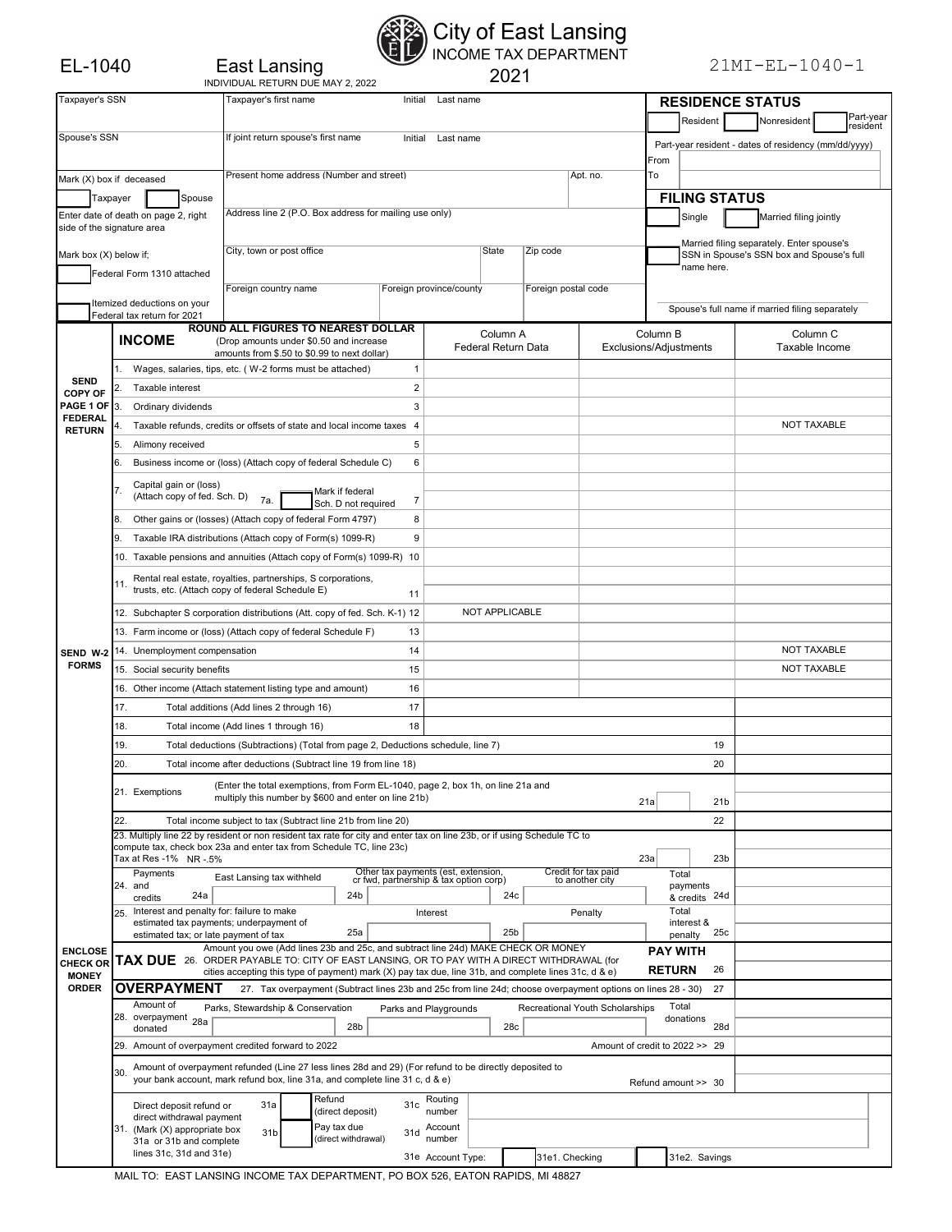| East Lansing                      |
|-----------------------------------|
| INDIVIDUAL RETURN DUE MAY 2, 2022 |

## $E$  East Lansing<br>East Lansing<br> $E$  INCOME TAX DEPARTMENT<br>2021

| Taxpayer's SSN                                      |                                                                                                                                                                                                  |                                                                                      | Taxpayer's first name                                                                                       |                            |                                                                                 | Initial                    | Last name                                                                                                                                                                        |       |                 |                     |                                 |                        | <b>RESIDENCE STATUS</b>                   |                 |                                                 |                                                      |                    |                       |  |  |  |
|-----------------------------------------------------|--------------------------------------------------------------------------------------------------------------------------------------------------------------------------------------------------|--------------------------------------------------------------------------------------|-------------------------------------------------------------------------------------------------------------|----------------------------|---------------------------------------------------------------------------------|----------------------------|----------------------------------------------------------------------------------------------------------------------------------------------------------------------------------|-------|-----------------|---------------------|---------------------------------|------------------------|-------------------------------------------|-----------------|-------------------------------------------------|------------------------------------------------------|--------------------|-----------------------|--|--|--|
|                                                     |                                                                                                                                                                                                  |                                                                                      |                                                                                                             |                            |                                                                                 |                            |                                                                                                                                                                                  |       |                 |                     |                                 |                        | Resident                                  |                 |                                                 | Nonresident                                          |                    | Part-year<br>resident |  |  |  |
| Spouse's SSN<br>If joint return spouse's first name |                                                                                                                                                                                                  |                                                                                      |                                                                                                             |                            |                                                                                 |                            | Initial<br>Last name                                                                                                                                                             |       |                 |                     |                                 |                        |                                           |                 |                                                 | Part-year resident - dates of residency (mm/dd/yyyy) |                    |                       |  |  |  |
|                                                     |                                                                                                                                                                                                  |                                                                                      |                                                                                                             |                            |                                                                                 |                            |                                                                                                                                                                                  |       |                 |                     |                                 | From                   |                                           |                 |                                                 |                                                      |                    |                       |  |  |  |
| Mark (X) box if deceased                            | Present home address (Number and street)                                                                                                                                                         |                                                                                      |                                                                                                             |                            |                                                                                 | Apt. no.                   | To                                                                                                                                                                               |       |                 |                     |                                 |                        |                                           |                 |                                                 |                                                      |                    |                       |  |  |  |
|                                                     |                                                                                                                                                                                                  |                                                                                      |                                                                                                             |                            |                                                                                 |                            |                                                                                                                                                                                  |       |                 |                     |                                 |                        |                                           |                 |                                                 |                                                      |                    |                       |  |  |  |
| Taxpaver                                            |                                                                                                                                                                                                  | Spouse                                                                               |                                                                                                             |                            | Address line 2 (P.O. Box address for mailing use only)                          |                            |                                                                                                                                                                                  |       |                 |                     |                                 |                        |                                           |                 | <b>FILING STATUS</b>                            |                                                      |                    |                       |  |  |  |
| side of the signature area                          |                                                                                                                                                                                                  | Enter date of death on page 2, right                                                 |                                                                                                             |                            |                                                                                 |                            |                                                                                                                                                                                  |       |                 |                     |                                 |                        | Single                                    |                 |                                                 | Married filing jointly                               |                    |                       |  |  |  |
|                                                     |                                                                                                                                                                                                  |                                                                                      |                                                                                                             |                            |                                                                                 |                            |                                                                                                                                                                                  |       |                 |                     |                                 |                        |                                           |                 |                                                 | Married filing separately. Enter spouse's            |                    |                       |  |  |  |
| Mark box (X) below if;                              |                                                                                                                                                                                                  |                                                                                      | City, town or post office                                                                                   |                            |                                                                                 |                            |                                                                                                                                                                                  | State |                 | Zip code            |                                 |                        | SSN in Spouse's SSN box and Spouse's full |                 |                                                 |                                                      |                    |                       |  |  |  |
|                                                     |                                                                                                                                                                                                  | Federal Form 1310 attached                                                           |                                                                                                             |                            |                                                                                 |                            |                                                                                                                                                                                  |       |                 |                     |                                 |                        | name here.                                |                 |                                                 |                                                      |                    |                       |  |  |  |
|                                                     |                                                                                                                                                                                                  |                                                                                      | Foreign country name                                                                                        |                            |                                                                                 | Foreign province/county    |                                                                                                                                                                                  |       |                 | Foreign postal code |                                 |                        |                                           |                 |                                                 |                                                      |                    |                       |  |  |  |
|                                                     |                                                                                                                                                                                                  | Itemized deductions on your<br>Federal tax return for 2021                           |                                                                                                             |                            |                                                                                 |                            |                                                                                                                                                                                  |       |                 |                     |                                 |                        |                                           |                 | Spouse's full name if married filing separately |                                                      |                    |                       |  |  |  |
|                                                     |                                                                                                                                                                                                  |                                                                                      | ROUND ALL FIGURES TO NEAREST DOLLAR                                                                         |                            |                                                                                 |                            | Column A                                                                                                                                                                         |       |                 |                     |                                 | Column B               |                                           |                 |                                                 | Column <sub>C</sub>                                  |                    |                       |  |  |  |
|                                                     |                                                                                                                                                                                                  | <b>INCOME</b>                                                                        | (Drop amounts under \$0.50 and increase                                                                     |                            |                                                                                 | <b>Federal Return Data</b> |                                                                                                                                                                                  |       |                 |                     |                                 | Exclusions/Adjustments |                                           |                 | Taxable Income                                  |                                                      |                    |                       |  |  |  |
|                                                     |                                                                                                                                                                                                  | Wages, salaries, tips, etc. (W-2 forms must be attached)                             |                                                                                                             |                            | amounts from \$.50 to \$0.99 to next dollar)                                    | $\mathbf{1}$               |                                                                                                                                                                                  |       |                 |                     |                                 |                        |                                           |                 |                                                 |                                                      |                    |                       |  |  |  |
| <b>SEND</b>                                         |                                                                                                                                                                                                  | Taxable interest                                                                     |                                                                                                             |                            | $\overline{\mathbf{c}}$                                                         |                            |                                                                                                                                                                                  |       |                 |                     |                                 |                        |                                           |                 |                                                 |                                                      |                    |                       |  |  |  |
| <b>COPY OF</b><br>PAGE 1 OF                         |                                                                                                                                                                                                  |                                                                                      |                                                                                                             |                            |                                                                                 |                            |                                                                                                                                                                                  |       |                 |                     |                                 |                        |                                           |                 |                                                 |                                                      |                    |                       |  |  |  |
| <b>FEDERAL</b>                                      | 3.                                                                                                                                                                                               | Ordinary dividends                                                                   |                                                                                                             |                            |                                                                                 | 3                          |                                                                                                                                                                                  |       |                 |                     |                                 |                        |                                           |                 |                                                 |                                                      |                    |                       |  |  |  |
| <b>RETURN</b>                                       |                                                                                                                                                                                                  | Taxable refunds, credits or offsets of state and local income taxes 4                |                                                                                                             |                            |                                                                                 |                            |                                                                                                                                                                                  |       |                 |                     |                                 |                        |                                           |                 |                                                 |                                                      | <b>NOT TAXABLE</b> |                       |  |  |  |
|                                                     | 5.                                                                                                                                                                                               | Alimony received                                                                     |                                                                                                             |                            |                                                                                 | 5                          |                                                                                                                                                                                  |       |                 |                     |                                 |                        |                                           |                 |                                                 |                                                      |                    |                       |  |  |  |
|                                                     | 6.                                                                                                                                                                                               | Business income or (loss) (Attach copy of federal Schedule C)                        |                                                                                                             |                            |                                                                                 | 6                          |                                                                                                                                                                                  |       |                 |                     |                                 |                        |                                           |                 |                                                 |                                                      |                    |                       |  |  |  |
|                                                     | 7.                                                                                                                                                                                               | Capital gain or (loss)                                                               |                                                                                                             |                            | Mark if federal                                                                 |                            |                                                                                                                                                                                  |       |                 |                     |                                 |                        |                                           |                 |                                                 |                                                      |                    |                       |  |  |  |
|                                                     |                                                                                                                                                                                                  | (Attach copy of fed. Sch. D) 7a.                                                     |                                                                                                             |                            | Sch. D not required                                                             | 7                          |                                                                                                                                                                                  |       |                 |                     |                                 |                        |                                           |                 |                                                 |                                                      |                    |                       |  |  |  |
|                                                     | 8.                                                                                                                                                                                               | Other gains or (losses) (Attach copy of federal Form 4797)                           |                                                                                                             |                            |                                                                                 | 8                          |                                                                                                                                                                                  |       |                 |                     |                                 |                        |                                           |                 |                                                 |                                                      |                    |                       |  |  |  |
|                                                     | 9.                                                                                                                                                                                               | Taxable IRA distributions (Attach copy of Form(s) 1099-R)                            |                                                                                                             |                            |                                                                                 | 9                          |                                                                                                                                                                                  |       |                 |                     |                                 |                        |                                           |                 |                                                 |                                                      |                    |                       |  |  |  |
|                                                     |                                                                                                                                                                                                  | 10. Taxable pensions and annuities (Attach copy of Form(s) 1099-R) 10                |                                                                                                             |                            |                                                                                 |                            |                                                                                                                                                                                  |       |                 |                     |                                 |                        |                                           |                 |                                                 |                                                      |                    |                       |  |  |  |
|                                                     |                                                                                                                                                                                                  | Rental real estate, royalties, partnerships, S corporations,                         |                                                                                                             |                            |                                                                                 |                            |                                                                                                                                                                                  |       |                 |                     |                                 |                        |                                           |                 |                                                 |                                                      |                    |                       |  |  |  |
|                                                     | 11.                                                                                                                                                                                              | trusts, etc. (Attach copy of federal Schedule E)                                     |                                                                                                             |                            |                                                                                 | 11                         |                                                                                                                                                                                  |       |                 |                     |                                 |                        |                                           |                 |                                                 |                                                      |                    |                       |  |  |  |
|                                                     |                                                                                                                                                                                                  | 12. Subchapter S corporation distributions (Att. copy of fed. Sch. K-1) 12           |                                                                                                             |                            |                                                                                 |                            | NOT APPLICABLE                                                                                                                                                                   |       |                 |                     |                                 |                        |                                           |                 |                                                 |                                                      |                    |                       |  |  |  |
|                                                     |                                                                                                                                                                                                  |                                                                                      |                                                                                                             |                            |                                                                                 | 13                         |                                                                                                                                                                                  |       |                 |                     |                                 |                        |                                           |                 |                                                 |                                                      |                    |                       |  |  |  |
|                                                     |                                                                                                                                                                                                  | 13. Farm income or (loss) (Attach copy of federal Schedule F)                        |                                                                                                             |                            |                                                                                 | 14                         |                                                                                                                                                                                  |       |                 |                     |                                 |                        |                                           |                 |                                                 |                                                      |                    |                       |  |  |  |
| <b>SEND W-2</b><br><b>FORMS</b>                     |                                                                                                                                                                                                  | 14. Unemployment compensation                                                        |                                                                                                             |                            |                                                                                 |                            |                                                                                                                                                                                  |       |                 |                     |                                 |                        |                                           |                 |                                                 | <b>NOT TAXABLE</b>                                   |                    |                       |  |  |  |
|                                                     |                                                                                                                                                                                                  | 15. Social security benefits                                                         |                                                                                                             |                            |                                                                                 | 15                         |                                                                                                                                                                                  |       |                 |                     |                                 |                        |                                           |                 |                                                 |                                                      | <b>NOT TAXABLE</b> |                       |  |  |  |
|                                                     |                                                                                                                                                                                                  | 16. Other income (Attach statement listing type and amount)                          |                                                                                                             |                            |                                                                                 | 16                         |                                                                                                                                                                                  |       |                 |                     |                                 |                        |                                           |                 |                                                 |                                                      |                    |                       |  |  |  |
|                                                     | 17.                                                                                                                                                                                              |                                                                                      | Total additions (Add lines 2 through 16)                                                                    |                            |                                                                                 | 17                         |                                                                                                                                                                                  |       |                 |                     |                                 |                        |                                           |                 |                                                 |                                                      |                    |                       |  |  |  |
|                                                     | 18.                                                                                                                                                                                              |                                                                                      | Total income (Add lines 1 through 16)                                                                       |                            |                                                                                 | 18                         |                                                                                                                                                                                  |       |                 |                     |                                 |                        |                                           |                 |                                                 |                                                      |                    |                       |  |  |  |
|                                                     | 19.<br>Total deductions (Subtractions) (Total from page 2, Deductions schedule, line 7)<br>19                                                                                                    |                                                                                      |                                                                                                             |                            |                                                                                 |                            |                                                                                                                                                                                  |       |                 |                     |                                 |                        |                                           |                 |                                                 |                                                      |                    |                       |  |  |  |
|                                                     | 20.<br>Total income after deductions (Subtract line 19 from line 18)<br>20                                                                                                                       |                                                                                      |                                                                                                             |                            |                                                                                 |                            |                                                                                                                                                                                  |       |                 |                     |                                 |                        |                                           |                 |                                                 |                                                      |                    |                       |  |  |  |
|                                                     |                                                                                                                                                                                                  |                                                                                      |                                                                                                             |                            | (Enter the total exemptions, from Form EL-1040, page 2, box 1h, on line 21a and |                            |                                                                                                                                                                                  |       |                 |                     |                                 |                        |                                           |                 |                                                 |                                                      |                    |                       |  |  |  |
|                                                     |                                                                                                                                                                                                  | 21. Exemptions                                                                       | multiply this number by \$600 and enter on line 21b)                                                        |                            |                                                                                 |                            |                                                                                                                                                                                  |       |                 |                     | 21a                             |                        | 21 <sub>b</sub>                           |                 |                                                 |                                                      |                    |                       |  |  |  |
|                                                     | 22.                                                                                                                                                                                              |                                                                                      | Total income subject to tax (Subtract line 21b from line 20)                                                |                            |                                                                                 |                            |                                                                                                                                                                                  |       |                 |                     |                                 |                        | 22                                        |                 |                                                 |                                                      |                    |                       |  |  |  |
|                                                     | 23. Multiply line 22 by resident or non resident tax rate for city and enter tax on line 23b, or if using Schedule TC to<br>compute tax, check box 23a and enter tax from Schedule TC, line 23c) |                                                                                      |                                                                                                             |                            |                                                                                 |                            |                                                                                                                                                                                  |       |                 |                     |                                 |                        |                                           |                 |                                                 |                                                      |                    |                       |  |  |  |
|                                                     |                                                                                                                                                                                                  | Tax at Res -1% NR -.5%                                                               |                                                                                                             |                            |                                                                                 |                            |                                                                                                                                                                                  |       |                 |                     |                                 | 23a                    |                                           | 23 <sub>b</sub> |                                                 |                                                      |                    |                       |  |  |  |
|                                                     |                                                                                                                                                                                                  | Payments                                                                             | East Lansing tax withheld                                                                                   |                            |                                                                                 |                            | Other tax payments (est, extension,                                                                                                                                              |       |                 |                     | Credit for tax paid             |                        | Total                                     |                 |                                                 |                                                      |                    |                       |  |  |  |
|                                                     |                                                                                                                                                                                                  | 24. and<br>24a<br>credits                                                            |                                                                                                             |                            | 24b                                                                             |                            | cr fwd, partnership & tax option corp)                                                                                                                                           |       | 24c             |                     | to another city                 |                        | payments<br>& credits 24d                 |                 |                                                 |                                                      |                    |                       |  |  |  |
|                                                     | 25.                                                                                                                                                                                              | Interest and penalty for: failure to make                                            |                                                                                                             |                            |                                                                                 |                            | Interest                                                                                                                                                                         |       |                 | Penalty             |                                 |                        | Total                                     |                 |                                                 |                                                      |                    |                       |  |  |  |
|                                                     |                                                                                                                                                                                                  | estimated tax payments; underpayment of                                              |                                                                                                             |                            | 25a                                                                             |                            |                                                                                                                                                                                  |       | 25 <sub>b</sub> |                     |                                 |                        | interest &                                | 25c             |                                                 |                                                      |                    |                       |  |  |  |
|                                                     |                                                                                                                                                                                                  | estimated tax; or late payment of tax                                                |                                                                                                             |                            |                                                                                 |                            |                                                                                                                                                                                  |       |                 |                     |                                 |                        | penalty                                   |                 |                                                 |                                                      |                    |                       |  |  |  |
| <b>ENCLOSE</b><br><b>CHECK OR</b>                   |                                                                                                                                                                                                  |                                                                                      |                                                                                                             |                            |                                                                                 |                            | Amount you owe (Add lines 23b and 25c, and subtract line 24d) MAKE CHECK OR MONEY<br>TAX DUE 26. ORDER PAYABLE TO: CITY OF EAST LANSING, OR TO PAY WITH A DIRECT WITHDRAWAL (for |       |                 |                     |                                 |                        | <b>PAY WITH</b>                           |                 |                                                 |                                                      |                    |                       |  |  |  |
| <b>MONEY</b>                                        |                                                                                                                                                                                                  |                                                                                      | cities accepting this type of payment) mark (X) pay tax due, line 31b, and complete lines 31c, d & e)       |                            |                                                                                 |                            |                                                                                                                                                                                  |       |                 |                     |                                 |                        | 26<br><b>RETURN</b>                       |                 |                                                 |                                                      |                    |                       |  |  |  |
| <b>ORDER</b>                                        |                                                                                                                                                                                                  | <b>OVERPAYMENT</b>                                                                   | 27. Tax overpayment (Subtract lines 23b and 25c from line 24d; choose overpayment options on lines 28 - 30) |                            |                                                                                 |                            |                                                                                                                                                                                  |       |                 |                     |                                 |                        | 27                                        |                 |                                                 |                                                      |                    |                       |  |  |  |
|                                                     |                                                                                                                                                                                                  | Amount of<br>28. overpayment 28a                                                     | Parks, Stewardship & Conservation                                                                           |                            |                                                                                 |                            | Parks and Playgrounds                                                                                                                                                            |       |                 |                     | Recreational Youth Scholarships |                        | Total<br>donations                        |                 |                                                 |                                                      |                    |                       |  |  |  |
|                                                     |                                                                                                                                                                                                  | donated                                                                              | 28 <sub>b</sub>                                                                                             |                            |                                                                                 |                            | 28c                                                                                                                                                                              |       |                 |                     |                                 |                        | 28d                                       |                 |                                                 |                                                      |                    |                       |  |  |  |
|                                                     |                                                                                                                                                                                                  | 29. Amount of overpayment credited forward to 2022<br>Amount of credit to 2022 >> 29 |                                                                                                             |                            |                                                                                 |                            |                                                                                                                                                                                  |       |                 |                     |                                 |                        |                                           |                 |                                                 |                                                      |                    |                       |  |  |  |
|                                                     | Amount of overpayment refunded (Line 27 less lines 28d and 29) (For refund to be directly deposited to<br>30.                                                                                    |                                                                                      |                                                                                                             |                            |                                                                                 |                            |                                                                                                                                                                                  |       |                 |                     |                                 |                        |                                           |                 |                                                 |                                                      |                    |                       |  |  |  |
|                                                     | your bank account, mark refund box, line 31a, and complete line 31 c, d & e)                                                                                                                     |                                                                                      |                                                                                                             |                            |                                                                                 |                            |                                                                                                                                                                                  |       |                 |                     |                                 |                        | Refund amount >> 30                       |                 |                                                 |                                                      |                    |                       |  |  |  |
|                                                     |                                                                                                                                                                                                  | Direct deposit refund or                                                             | 31a                                                                                                         |                            | Refund                                                                          | 31 <sub>c</sub>            | Routing                                                                                                                                                                          |       |                 |                     |                                 |                        |                                           |                 |                                                 |                                                      |                    |                       |  |  |  |
|                                                     |                                                                                                                                                                                                  | direct withdrawal payment                                                            |                                                                                                             | (direct deposit)<br>number |                                                                                 |                            |                                                                                                                                                                                  |       |                 |                     |                                 |                        |                                           |                 |                                                 |                                                      |                    |                       |  |  |  |
|                                                     |                                                                                                                                                                                                  | 31. (Mark (X) appropriate box<br>31a or 31b and complete                             | 31 <sub>b</sub>                                                                                             |                            | Pay tax due<br>(direct withdrawal)                                              | 31d                        | Account<br>number                                                                                                                                                                |       |                 |                     |                                 |                        |                                           |                 |                                                 |                                                      |                    |                       |  |  |  |
|                                                     |                                                                                                                                                                                                  | lines 31c, 31d and 31e)                                                              |                                                                                                             |                            |                                                                                 |                            | 31e Account Type:                                                                                                                                                                |       |                 | 31e1. Checking      |                                 |                        | 31e2. Savings                             |                 |                                                 |                                                      |                    |                       |  |  |  |
|                                                     |                                                                                                                                                                                                  |                                                                                      |                                                                                                             |                            |                                                                                 |                            |                                                                                                                                                                                  |       |                 |                     |                                 |                        |                                           |                 |                                                 |                                                      |                    |                       |  |  |  |

MAIL TO: EAST LANSING INCOME TAX DEPARTMENT, PO BOX 526, EATON RAPIDS, MI 48827